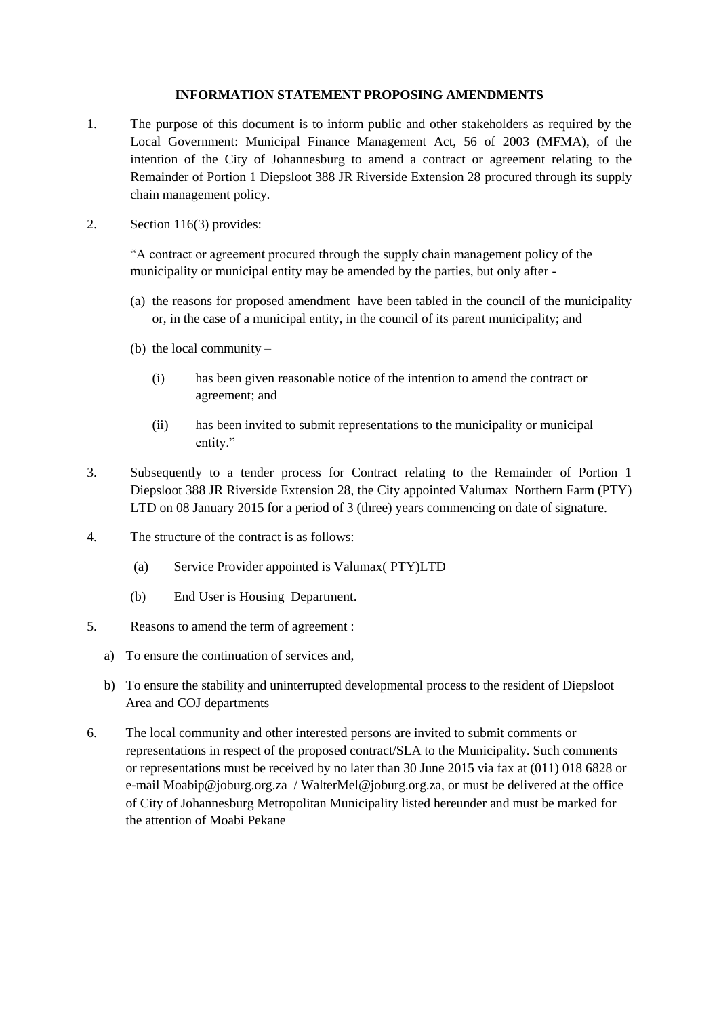## **INFORMATION STATEMENT PROPOSING AMENDMENTS**

- 1. The purpose of this document is to inform public and other stakeholders as required by the Local Government: Municipal Finance Management Act, 56 of 2003 (MFMA), of the intention of the City of Johannesburg to amend a contract or agreement relating to the Remainder of Portion 1 Diepsloot 388 JR Riverside Extension 28 procured through its supply chain management policy.
- 2. Section 116(3) provides:

"A contract or agreement procured through the supply chain management policy of the municipality or municipal entity may be amended by the parties, but only after -

- (a) the reasons for proposed amendment have been tabled in the council of the municipality or, in the case of a municipal entity, in the council of its parent municipality; and
- (b) the local community
	- (i) has been given reasonable notice of the intention to amend the contract or agreement; and
	- (ii) has been invited to submit representations to the municipality or municipal entity."
- 3. Subsequently to a tender process for Contract relating to the Remainder of Portion 1 Diepsloot 388 JR Riverside Extension 28, the City appointed Valumax Northern Farm (PTY) LTD on 08 January 2015 for a period of 3 (three) years commencing on date of signature.
- 4. The structure of the contract is as follows:
	- (a) Service Provider appointed is Valumax( PTY)LTD
	- (b) End User is Housing Department.
- 5. Reasons to amend the term of agreement :
	- a) To ensure the continuation of services and,
	- b) To ensure the stability and uninterrupted developmental process to the resident of Diepsloot Area and COJ departments
- 6. The local community and other interested persons are invited to submit comments or representations in respect of the proposed contract/SLA to the Municipality. Such comments or representations must be received by no later than 30 June 2015 via fax at (011) 018 6828 or e-mail Moabip@joburg.org.za / WalterMel@joburg.org.za, or must be delivered at the office of City of Johannesburg Metropolitan Municipality listed hereunder and must be marked for the attention of Moabi Pekane